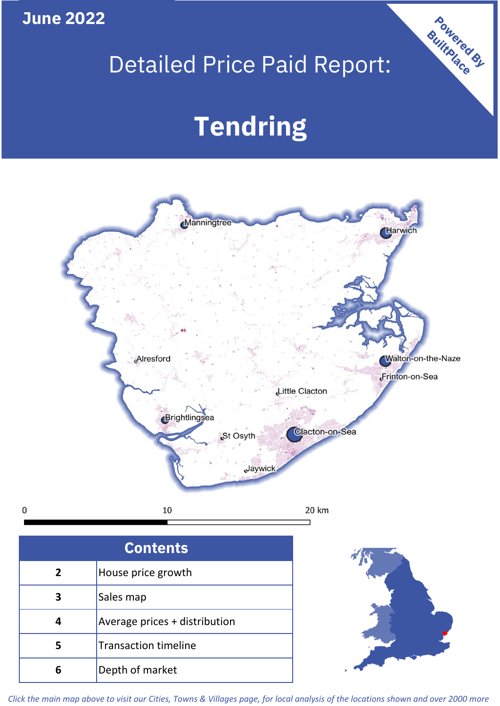**June 2022**

**5**

 $\mathbf 0$ 

Transaction timeline

**6** Depth of market

## Detailed Price Paid Report:

Powered By

# **Tendring**



*Click the main map above to visit our Cities, Towns & Villages page, for local analysis of the locations shown and over 2000 more*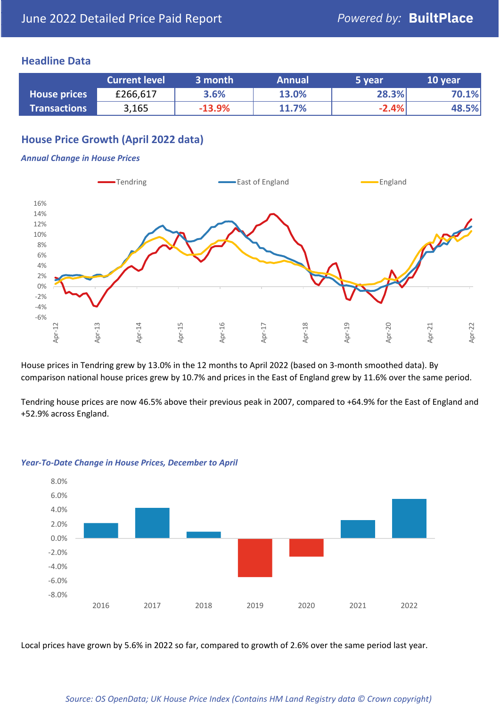## **Headline Data**

|                     | <b>Current level</b> | 3 month  | <b>Annual</b> | 5 year  | 10 year |
|---------------------|----------------------|----------|---------------|---------|---------|
| <b>House prices</b> | £266,617             | 3.6%     | 13.0%         | 28.3%   | 70.1%   |
| <b>Transactions</b> | 3,165                | $-13.9%$ | 11.7%         | $-2.4%$ | 48.5%   |

## **House Price Growth (April 2022 data)**

#### *Annual Change in House Prices*



House prices in Tendring grew by 13.0% in the 12 months to April 2022 (based on 3-month smoothed data). By comparison national house prices grew by 10.7% and prices in the East of England grew by 11.6% over the same period.

Tendring house prices are now 46.5% above their previous peak in 2007, compared to +64.9% for the East of England and +52.9% across England.



### *Year-To-Date Change in House Prices, December to April*

Local prices have grown by 5.6% in 2022 so far, compared to growth of 2.6% over the same period last year.

### *Source: OS OpenData; UK House Price Index (Contains HM Land Registry data © Crown copyright)*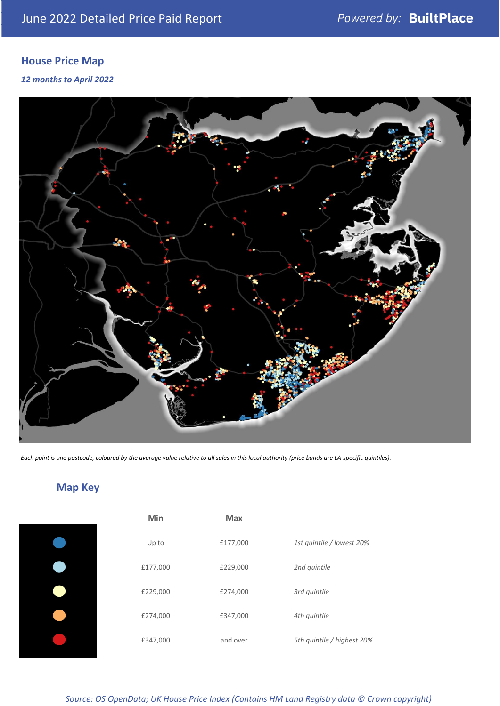## **House Price Map**

## *12 months to April 2022*



*Each point is one postcode, coloured by the average value relative to all sales in this local authority (price bands are LA-specific quintiles).*

## **Map Key**

| Min      | <b>Max</b> |                            |
|----------|------------|----------------------------|
| Up to    | £177,000   | 1st quintile / lowest 20%  |
| £177,000 | £229,000   | 2nd quintile               |
| £229,000 | £274,000   | 3rd quintile               |
| £274,000 | £347,000   | 4th quintile               |
| £347,000 | and over   | 5th quintile / highest 20% |

#### *Source: OS OpenData; UK House Price Index (Contains HM Land Registry data © Crown copyright)*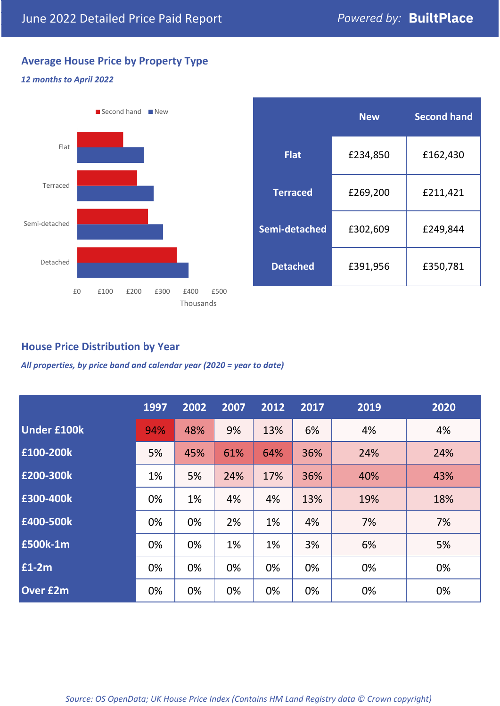## **Average House Price by Property Type**

## *12 months to April 2022*



|                 | <b>New</b> | <b>Second hand</b> |  |
|-----------------|------------|--------------------|--|
| <b>Flat</b>     | £234,850   | £162,430           |  |
| <b>Terraced</b> | £269,200   | £211,421           |  |
| Semi-detached   | £302,609   | £249,844           |  |
| <b>Detached</b> | £391,956   | £350,781           |  |

## **House Price Distribution by Year**

*All properties, by price band and calendar year (2020 = year to date)*

|                    | 1997 | 2002 | 2007 | 2012 | 2017 | 2019 | 2020 |
|--------------------|------|------|------|------|------|------|------|
| <b>Under £100k</b> | 94%  | 48%  | 9%   | 13%  | 6%   | 4%   | 4%   |
| £100-200k          | 5%   | 45%  | 61%  | 64%  | 36%  | 24%  | 24%  |
| E200-300k          | 1%   | 5%   | 24%  | 17%  | 36%  | 40%  | 43%  |
| £300-400k          | 0%   | 1%   | 4%   | 4%   | 13%  | 19%  | 18%  |
| £400-500k          | 0%   | 0%   | 2%   | 1%   | 4%   | 7%   | 7%   |
| <b>£500k-1m</b>    | 0%   | 0%   | 1%   | 1%   | 3%   | 6%   | 5%   |
| £1-2m              | 0%   | 0%   | 0%   | 0%   | 0%   | 0%   | 0%   |
| <b>Over £2m</b>    | 0%   | 0%   | 0%   | 0%   | 0%   | 0%   | 0%   |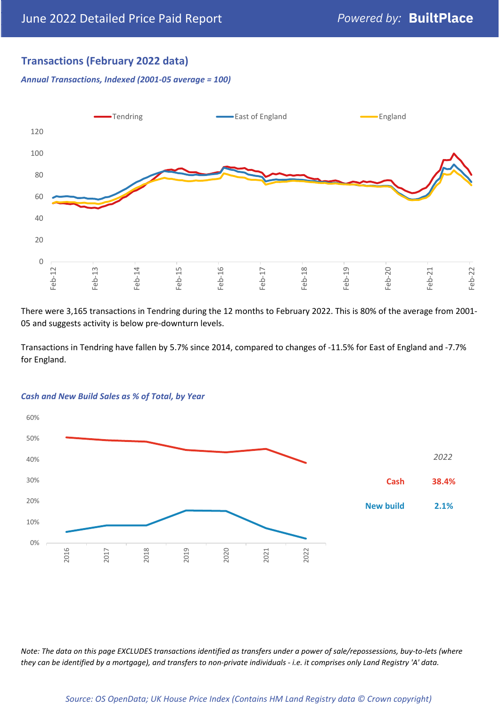## **Transactions (February 2022 data)**

*Annual Transactions, Indexed (2001-05 average = 100)*



There were 3,165 transactions in Tendring during the 12 months to February 2022. This is 80% of the average from 2001- 05 and suggests activity is below pre-downturn levels.

Transactions in Tendring have fallen by 5.7% since 2014, compared to changes of -11.5% for East of England and -7.7% for England.



#### *Cash and New Build Sales as % of Total, by Year*

*Note: The data on this page EXCLUDES transactions identified as transfers under a power of sale/repossessions, buy-to-lets (where they can be identified by a mortgage), and transfers to non-private individuals - i.e. it comprises only Land Registry 'A' data.*